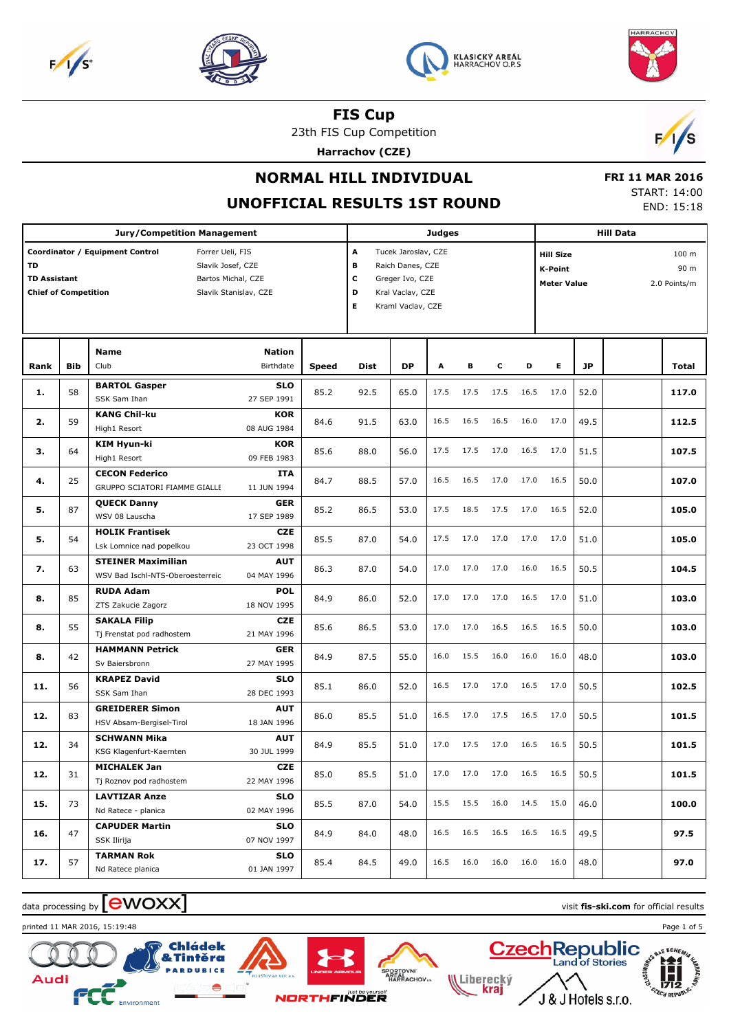





23th FIS Cup Competition

**Harrachov (CZE)**



HARRACHOV

#### **NORMAL HILL INDIVIDUAL**

#### **UNOFFICIAL RESULTS 1ST ROUND**

 **FRI 11 MAR 2016** START: 14:00 END: 15:18

|                                                          |            | <b>Jury/Competition Management</b>                                                                                      |                                   |                                                                                                                              |      |           | Judges |      |      |                                                                                           |      |           | <b>Hill Data</b> |       |
|----------------------------------------------------------|------------|-------------------------------------------------------------------------------------------------------------------------|-----------------------------------|------------------------------------------------------------------------------------------------------------------------------|------|-----------|--------|------|------|-------------------------------------------------------------------------------------------|------|-----------|------------------|-------|
| TD<br><b>TD Assistant</b><br><b>Chief of Competition</b> |            | Coordinator / Equipment Control<br>Forrer Ueli, FIS<br>Slavik Josef, CZE<br>Bartos Michal, CZE<br>Slavik Stanislav, CZE |                                   | A<br>Tucek Jaroslav, CZE<br>в<br>Raich Danes, CZE<br>c<br>Greger Ivo, CZE<br>D<br>Kral Vaclav, CZE<br>Е<br>Kraml Vaclav, CZE |      |           |        |      |      | 100 m<br><b>Hill Size</b><br>90 m<br><b>K-Point</b><br>2.0 Points/m<br><b>Meter Value</b> |      |           |                  |       |
| Rank                                                     | <b>Bib</b> | <b>Name</b><br>Club                                                                                                     | <b>Nation</b><br><b>Birthdate</b> | <b>Speed</b>                                                                                                                 | Dist | <b>DP</b> | A      | в    | c    | D                                                                                         | Е    | <b>JP</b> |                  | Total |
| 1.                                                       | 58         | <b>BARTOL Gasper</b><br>SSK Sam Ihan                                                                                    | <b>SLO</b><br>27 SEP 1991         | 85.2                                                                                                                         | 92.5 | 65.0      | 17.5   | 17.5 | 17.5 | 16.5                                                                                      | 17.0 | 52.0      |                  | 117.0 |
| 2.                                                       | 59         | <b>KANG Chil-ku</b><br>High1 Resort                                                                                     | KOR<br>08 AUG 1984                | 84.6                                                                                                                         | 91.5 | 63.0      | 16.5   | 16.5 | 16.5 | 16.0                                                                                      | 17.0 | 49.5      |                  | 112.5 |
| з.                                                       | 64         | KIM Hyun-ki<br>High1 Resort                                                                                             | <b>KOR</b><br>09 FEB 1983         | 85.6                                                                                                                         | 88.0 | 56.0      | 17.5   | 17.5 | 17.0 | 16.5                                                                                      | 17.0 | 51.5      |                  | 107.5 |
| 4.                                                       | 25         | <b>CECON Federico</b><br>GRUPPO SCIATORI FIAMME GIALLE                                                                  | <b>ITA</b><br>11 JUN 1994         | 84.7                                                                                                                         | 88.5 | 57.0      | 16.5   | 16.5 | 17.0 | 17.0                                                                                      | 16.5 | 50.0      |                  | 107.0 |
| 5.                                                       | 87         | <b>QUECK Danny</b><br>WSV 08 Lauscha                                                                                    | GER<br>17 SEP 1989                | 85.2                                                                                                                         | 86.5 | 53.0      | 17.5   | 18.5 | 17.5 | 17.0                                                                                      | 16.5 | 52.0      |                  | 105.0 |
| 5.                                                       | 54         | <b>HOLIK Frantisek</b><br>Lsk Lomnice nad popelkou                                                                      | <b>CZE</b><br>23 OCT 1998         | 85.5                                                                                                                         | 87.0 | 54.0      | 17.5   | 17.0 | 17.0 | 17.0                                                                                      | 17.0 | 51.0      |                  | 105.0 |
| 7.                                                       | 63         | <b>STEINER Maximilian</b><br>WSV Bad Ischl-NTS-Oberoesterreic                                                           | <b>AUT</b><br>04 MAY 1996         | 86.3                                                                                                                         | 87.0 | 54.0      | 17.0   | 17.0 | 17.0 | 16.0                                                                                      | 16.5 | 50.5      |                  | 104.5 |
| 8.                                                       | 85         | <b>RUDA Adam</b><br>ZTS Zakucie Zagorz                                                                                  | <b>POL</b><br>18 NOV 1995         | 84.9                                                                                                                         | 86.0 | 52.0      | 17.0   | 17.0 | 17.0 | 16.5                                                                                      | 17.0 | 51.0      |                  | 103.0 |
| 8.                                                       | 55         | <b>SAKALA Filip</b><br>Tj Frenstat pod radhostem                                                                        | <b>CZE</b><br>21 MAY 1996         | 85.6                                                                                                                         | 86.5 | 53.0      | 17.0   | 17.0 | 16.5 | 16.5                                                                                      | 16.5 | 50.0      |                  | 103.0 |
| 8.                                                       | 42         | <b>HAMMANN Petrick</b><br>Sv Baiersbronn                                                                                | GER<br>27 MAY 1995                | 84.9                                                                                                                         | 87.5 | 55.0      | 16.0   | 15.5 | 16.0 | 16.0                                                                                      | 16.0 | 48.0      |                  | 103.0 |
| 11.                                                      | 56         | <b>KRAPEZ David</b><br>SSK Sam Ihan                                                                                     | <b>SLO</b><br>28 DEC 1993         | 85.1                                                                                                                         | 86.0 | 52.0      | 16.5   | 17.0 | 17.0 | 16.5                                                                                      | 17.0 | 50.5      |                  | 102.5 |
| 12.                                                      | 83         | <b>GREIDERER Simon</b><br>HSV Absam-Bergisel-Tirol                                                                      | <b>AUT</b><br>18 JAN 1996         | 86.0                                                                                                                         | 85.5 | 51.0      | 16.5   | 17.0 | 17.5 | 16.5                                                                                      | 17.0 | 50.5      |                  | 101.5 |
| 12.                                                      | 34         | <b>SCHWANN Mika</b><br>KSG Klagenfurt-Kaernten                                                                          | <b>AUT</b><br>30 JUL 1999         | 84.9                                                                                                                         | 85.5 | 51.0      | 17.0   | 17.5 | 17.0 | 16.5                                                                                      | 16.5 | 50.5      |                  | 101.5 |
| 12.                                                      | 31         | <b>MICHALEK Jan</b><br>Tj Roznov pod radhostem                                                                          | <b>CZE</b><br>22 MAY 1996         | 85.0                                                                                                                         | 85.5 | 51.0      | 17.0   | 17.0 | 17.0 | 16.5                                                                                      | 16.5 | 50.5      |                  | 101.5 |
| 15.                                                      | 73         | <b>LAVTIZAR Anze</b><br>Nd Ratece - planica                                                                             | <b>SLO</b><br>02 MAY 1996         | 85.5                                                                                                                         | 87.0 | 54.0      | 15.5   | 15.5 | 16.0 | 14.5                                                                                      | 15.0 | 46.0      |                  | 100.0 |
| 16.                                                      | 47         | <b>CAPUDER Martin</b><br>SSK Ilirija                                                                                    | <b>SLO</b><br>07 NOV 1997         | 84.9                                                                                                                         | 84.0 | 48.0      | 16.5   | 16.5 | 16.5 | 16.5                                                                                      | 16.5 | 49.5      |                  | 97.5  |
| 17.                                                      | 57         | <b>TARMAN Rok</b><br>Nd Ratece planica                                                                                  | <b>SLO</b><br>01 JAN 1997         | 85.4                                                                                                                         | 84.5 | 49.0      | 16.5   | 16.0 | 16.0 | 16.0                                                                                      | 16.0 | 48.0      |                  | 97.0  |

### data processing by **CWOXX** and  $\overline{C}$  and  $\overline{C}$  and  $\overline{C}$  and  $\overline{C}$  and  $\overline{C}$  and  $\overline{C}$  and  $\overline{C}$  and  $\overline{C}$  and  $\overline{C}$  and  $\overline{C}$  and  $\overline{C}$  and  $\overline{C}$  and  $\overline{C}$  and  $\overline{C}$  and  $\overline{C}$









Liberecký<br>**kraj** 

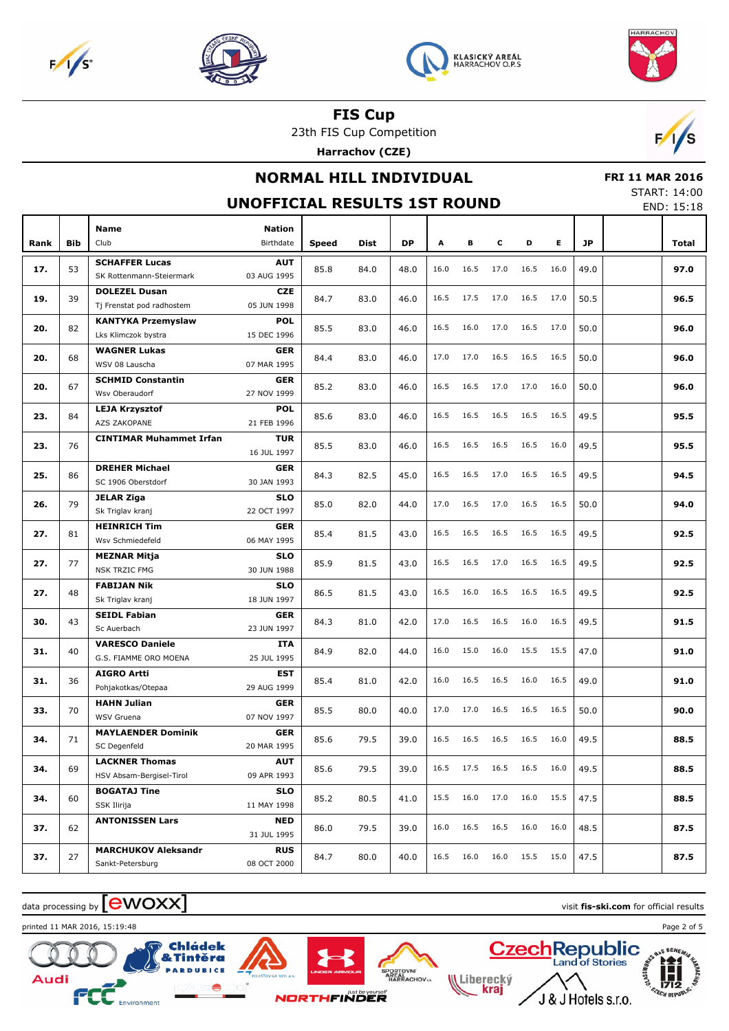







23th FIS Cup Competition

**Harrachov (CZE)**



# **NORMAL HILL INDIVIDUAL**

## **FRI 11 MAR 2016**

**UNOFFICIAL RESULTS 1ST ROUND**

START: 14:00 END: 15:18

|      |     |                                             |                           |              |      |           |      |      |      |      |      |           | LIVD. 19.14 |
|------|-----|---------------------------------------------|---------------------------|--------------|------|-----------|------|------|------|------|------|-----------|-------------|
|      |     | <b>Name</b>                                 | <b>Nation</b>             |              |      |           |      |      |      |      |      |           |             |
| Rank | Bib | Club                                        | Birthdate                 | <b>Speed</b> | Dist | <b>DP</b> | Α    | В    | c    | D    | E.   | <b>JP</b> | Total       |
| 17.  | 53  | <b>SCHAFFER Lucas</b>                       | <b>AUT</b>                | 85.8         | 84.0 | 48.0      | 16.0 | 16.5 | 17.0 | 16.5 | 16.0 | 49.0      | 97.0        |
|      |     | SK Rottenmann-Steiermark                    | 03 AUG 1995               |              |      |           |      |      |      |      |      |           |             |
| 19.  | 39  | <b>DOLEZEL Dusan</b>                        | <b>CZE</b>                | 84.7         | 83.0 | 46.0      | 16.5 | 17.5 | 17.0 | 16.5 | 17.0 | 50.5      | 96.5        |
|      |     | Tj Frenstat pod radhostem                   | 05 JUN 1998               |              |      |           |      |      |      |      |      |           |             |
| 20.  | 82  | <b>KANTYKA Przemyslaw</b>                   | <b>POL</b>                | 85.5         | 83.0 | 46.0      | 16.5 | 16.0 | 17.0 | 16.5 | 17.0 | 50.0      | 96.0        |
|      |     | Lks Klimczok bystra                         | 15 DEC 1996               |              |      |           |      |      |      |      |      |           |             |
| 20.  | 68  | <b>WAGNER Lukas</b>                         | <b>GER</b>                | 84.4         | 83.0 | 46.0      | 17.0 | 17.0 | 16.5 | 16.5 | 16.5 | 50.0      | 96.0        |
|      |     | WSV 08 Lauscha                              | 07 MAR 1995               |              |      |           |      |      |      |      |      |           |             |
| 20.  | 67  | <b>SCHMID Constantin</b>                    | <b>GER</b>                | 85.2         | 83.0 | 46.0      | 16.5 | 16.5 | 17.0 | 17.0 | 16.0 | 50.0      | 96.0        |
|      |     | Wsv Oberaudorf                              | 27 NOV 1999               |              |      |           |      |      |      |      |      |           |             |
| 23.  | 84  | <b>LEJA Krzysztof</b>                       | <b>POL</b>                | 85.6         | 83.0 | 46.0      | 16.5 | 16.5 | 16.5 | 16.5 | 16.5 | 49.5      | 95.5        |
|      |     | AZS ZAKOPANE                                | 21 FEB 1996               |              |      |           |      |      |      |      |      |           |             |
| 23.  | 76  | <b>CINTIMAR Muhammet Irfan</b>              | <b>TUR</b>                | 85.5         | 83.0 | 46.0      | 16.5 | 16.5 | 16.5 | 16.5 | 16.0 | 49.5      | 95.5        |
|      |     |                                             | 16 JUL 1997               |              |      |           |      |      |      |      |      |           |             |
| 25.  | 86  | <b>DREHER Michael</b><br>SC 1906 Oberstdorf | <b>GER</b><br>30 JAN 1993 | 84.3         | 82.5 | 45.0      | 16.5 | 16.5 | 17.0 | 16.5 | 16.5 | 49.5      | 94.5        |
|      |     | <b>JELAR Ziga</b>                           | <b>SLO</b>                |              |      |           |      |      |      |      |      |           |             |
| 26.  | 79  | Sk Triglav kranj                            | 22 OCT 1997               | 85.0         | 82.0 | 44.0      | 17.0 | 16.5 | 17.0 | 16.5 | 16.5 | 50.0      | 94.0        |
|      |     | <b>HEINRICH Tim</b>                         | <b>GER</b>                |              |      |           |      |      |      |      |      |           |             |
| 27.  | 81  | Wsv Schmiedefeld                            | 06 MAY 1995               | 85.4         | 81.5 | 43.0      | 16.5 | 16.5 | 16.5 | 16.5 | 16.5 | 49.5      | 92.5        |
|      |     | <b>MEZNAR Mitja</b>                         | <b>SLO</b>                |              |      |           |      |      |      |      |      |           |             |
| 27.  | 77  | <b>NSK TRZIC FMG</b>                        | 30 JUN 1988               | 85.9         | 81.5 | 43.0      | 16.5 | 16.5 | 17.0 | 16.5 | 16.5 | 49.5      | 92.5        |
|      |     | <b>FABIJAN Nik</b>                          | <b>SLO</b>                |              |      |           |      |      |      |      |      |           |             |
| 27.  | 48  | Sk Triglav kranj                            | 18 JUN 1997               | 86.5         | 81.5 | 43.0      | 16.5 | 16.0 | 16.5 | 16.5 | 16.5 | 49.5      | 92.5        |
|      |     | <b>SEIDL Fabian</b>                         | <b>GER</b>                |              |      |           |      |      |      |      |      |           |             |
| 30.  | 43  | Sc Auerbach                                 | 23 JUN 1997               | 84.3         | 81.0 | 42.0      | 17.0 | 16.5 | 16.5 | 16.0 | 16.5 | 49.5      | 91.5        |
|      |     | <b>VARESCO Daniele</b>                      | ITA                       |              |      |           |      |      |      |      |      |           |             |
| 31.  | 40  | G.S. FIAMME ORO MOENA                       | 25 JUL 1995               | 84.9         | 82.0 | 44.0      | 16.0 | 15.0 | 16.0 | 15.5 | 15.5 | 47.0      | 91.0        |
|      |     | <b>AIGRO Artti</b>                          | <b>EST</b>                |              |      |           |      |      |      | 16.0 |      |           |             |
| 31.  | 36  | Pohjakotkas/Otepaa                          | 29 AUG 1999               | 85.4         | 81.0 | 42.0      | 16.0 | 16.5 | 16.5 |      | 16.5 | 49.0      | 91.0        |
| 33.  | 70  | <b>HAHN Julian</b>                          | <b>GER</b>                | 85.5         | 80.0 | 40.0      | 17.0 | 17.0 | 16.5 | 16.5 | 16.5 | 50.0      | 90.0        |
|      |     | WSV Gruena                                  | 07 NOV 1997               |              |      |           |      |      |      |      |      |           |             |
| 34.  | 71  | <b>MAYLAENDER Dominik</b>                   | GER                       | 85.6         | 79.5 | 39.0      | 16.5 | 16.5 | 16.5 | 16.5 | 16.0 | 49.5      | 88.5        |
|      |     | SC Degenfeld                                | 20 MAR 1995               |              |      |           |      |      |      |      |      |           |             |
| 34.  | 69  | <b>LACKNER Thomas</b>                       | <b>AUT</b>                | 85.6         | 79.5 | 39.0      | 16.5 | 17.5 | 16.5 | 16.5 | 16.0 | 49.5      | 88.5        |
|      |     | HSV Absam-Bergisel-Tirol                    | 09 APR 1993               |              |      |           |      |      |      |      |      |           |             |
| 34.  | 60  | <b>BOGATAJ Tine</b>                         | <b>SLO</b>                | 85.2         | 80.5 | 41.0      | 15.5 | 16.0 | 17.0 | 16.0 | 15.5 | 47.5      | 88.5        |
|      |     | SSK Ilirija                                 | 11 MAY 1998               |              |      |           |      |      |      |      |      |           |             |
| 37.  | 62  | <b>ANTONISSEN Lars</b>                      | <b>NED</b>                | 86.0         | 79.5 | 39.0      | 16.0 | 16.5 | 16.5 | 16.0 | 16.0 | 48.5      | 87.5        |
|      |     |                                             | 31 JUL 1995               |              |      |           |      |      |      |      |      |           |             |
| 37.  | 27  | <b>MARCHUKOV Aleksandr</b>                  | <b>RUS</b>                | 84.7         | 80.0 | 40.0      | 16.5 | 16.0 | 16.0 | 15.5 | 15.0 | 47.5      | 87.5        |
|      |     | Sankt-Petersburg                            | 08 OCT 2000               |              |      |           |      |      |      |      |      |           |             |

#### $\alpha$  data processing by  $\boxed{\text{ewOX}}$

printed 11 MAR 2016, 15:19:48 Page 2 of 5







Liberecký<br>**Kraj** 

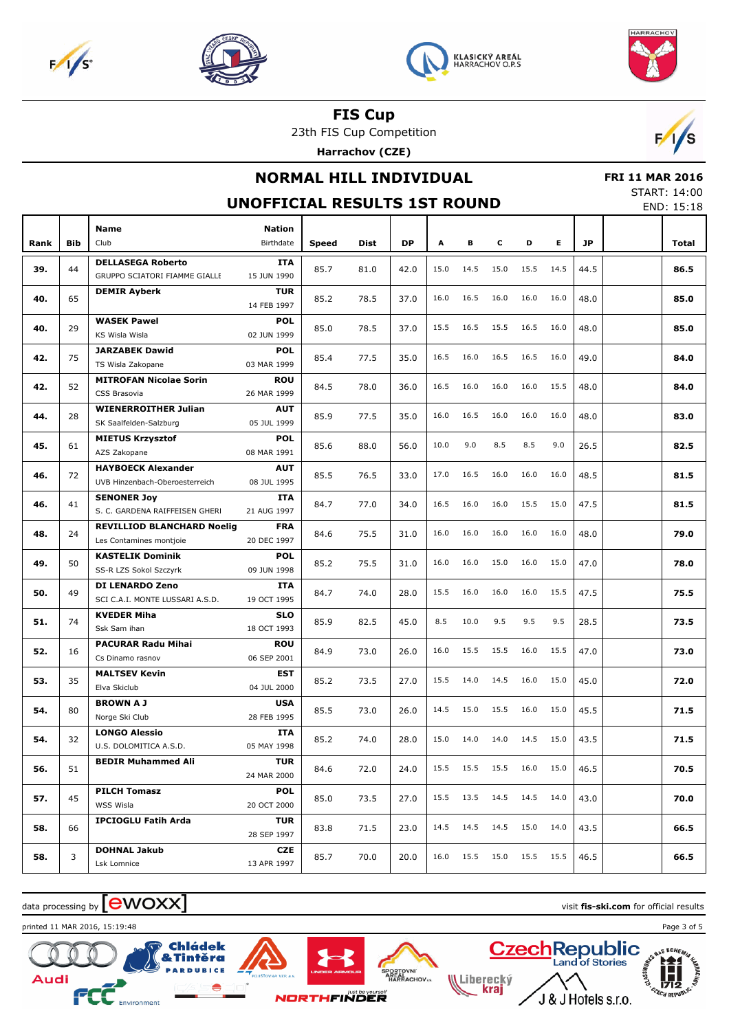







23th FIS Cup Competition

**Harrachov (CZE)**



## **NORMAL HILL INDIVIDUAL**

## **FRI 11 MAR 2016**

**UNOFFICIAL RESULTS 1ST ROUND**

| START: 14:00 |            |
|--------------|------------|
|              | END: 15:18 |

|      |            | <b>Name</b>                                               | <b>Nation</b>             |       |             |           |      |           |      |           |      |           |       |
|------|------------|-----------------------------------------------------------|---------------------------|-------|-------------|-----------|------|-----------|------|-----------|------|-----------|-------|
| Rank | <b>Bib</b> | Club                                                      | Birthdate                 | Speed | <b>Dist</b> | <b>DP</b> | А    | В         | c    | D         | E.   | <b>JP</b> | Total |
|      |            | <b>DELLASEGA Roberto</b>                                  | <b>ITA</b>                |       |             |           |      |           |      |           |      |           |       |
| 39.  | 44         | GRUPPO SCIATORI FIAMME GIALLE                             | 15 JUN 1990               | 85.7  | 81.0        | 42.0      | 15.0 | 14.5      | 15.0 | 15.5      | 14.5 | 44.5      | 86.5  |
|      |            | <b>DEMIR Ayberk</b>                                       | <b>TUR</b>                |       |             |           | 16.0 | 16.5      | 16.0 | 16.0      | 16.0 |           |       |
| 40.  | 65         |                                                           | 14 FEB 1997               | 85.2  | 78.5        | 37.0      |      |           |      |           |      | 48.0      | 85.0  |
| 40.  | 29         | <b>WASEK Pawel</b>                                        | <b>POL</b>                | 85.0  | 78.5        | 37.0      | 15.5 | 16.5      | 15.5 | 16.5      | 16.0 | 48.0      | 85.0  |
|      |            | KS Wisla Wisla                                            | 02 JUN 1999               |       |             |           |      |           |      |           |      |           |       |
| 42.  | 75         | <b>JARZABEK Dawid</b>                                     | <b>POL</b>                | 85.4  | 77.5        | 35.0      | 16.5 | 16.0      | 16.5 | 16.5      | 16.0 | 49.0      | 84.0  |
|      |            | TS Wisla Zakopane                                         | 03 MAR 1999               |       |             |           |      |           |      |           |      |           |       |
| 42.  | 52         | <b>MITROFAN Nicolae Sorin</b>                             | <b>ROU</b>                | 84.5  | 78.0        | 36.0      | 16.5 | 16.0      | 16.0 | 16.0      | 15.5 | 48.0      | 84.0  |
|      |            | CSS Brasovia                                              | 26 MAR 1999               |       |             |           |      |           |      |           |      |           |       |
| 44.  | 28         | <b>WIENERROITHER Julian</b>                               | <b>AUT</b>                | 85.9  | 77.5        | 35.0      | 16.0 | 16.5      | 16.0 | 16.0      | 16.0 | 48.0      | 83.0  |
|      |            | SK Saalfelden-Salzburg                                    | 05 JUL 1999               |       |             |           |      |           |      |           |      |           |       |
| 45.  | 61         | <b>MIETUS Krzysztof</b>                                   | <b>POL</b>                | 85.6  | 88.0        | 56.0      | 10.0 | 9.0       | 8.5  | 8.5       | 9.0  | 26.5      | 82.5  |
|      |            | AZS Zakopane                                              | 08 MAR 1991               |       |             |           |      |           |      |           |      |           |       |
| 46.  | 72         | <b>HAYBOECK Alexander</b>                                 | <b>AUT</b>                | 85.5  | 76.5        | 33.0      | 17.0 | 16.5      | 16.0 | 16.0      | 16.0 | 48.5      | 81.5  |
|      |            | UVB Hinzenbach-Oberoesterreich                            | 08 JUL 1995               |       |             |           |      |           |      |           |      |           |       |
| 46.  | 41         | <b>SENONER Joy</b>                                        | <b>ITA</b>                | 84.7  | 77.0        | 34.0      | 16.5 | 16.0      | 16.0 | 15.5      | 15.0 | 47.5      | 81.5  |
|      |            | S. C. GARDENA RAIFFEISEN GHERI                            | 21 AUG 1997               |       |             |           |      |           |      |           |      |           |       |
| 48.  | 24         | <b>REVILLIOD BLANCHARD Noelig</b>                         | <b>FRA</b>                | 84.6  | 75.5        | 31.0      | 16.0 | 16.0      | 16.0 | 16.0      | 16.0 | 48.0      | 79.0  |
|      |            | Les Contamines montjoie                                   | 20 DEC 1997               |       |             |           |      |           |      |           |      |           |       |
| 49.  | 50         | <b>KASTELIK Dominik</b>                                   | <b>POL</b><br>09 JUN 1998 | 85.2  | 75.5        | 31.0      | 16.0 | 16.0      | 15.0 | 16.0      | 15.0 | 47.0      | 78.0  |
|      |            | SS-R LZS Sokol Szczyrk                                    |                           |       |             |           |      |           |      |           |      |           |       |
| 50.  | 49         | <b>DI LENARDO Zeno</b><br>SCI C.A.I. MONTE LUSSARI A.S.D. | <b>ITA</b><br>19 OCT 1995 | 84.7  | 74.0        | 28.0      | 15.5 | 16.0      | 16.0 | 16.0      | 15.5 | 47.5      | 75.5  |
|      |            | <b>KVEDER Miha</b>                                        | <b>SLO</b>                |       |             |           |      |           |      |           |      |           |       |
| 51.  | 74         | Ssk Sam ihan                                              | 18 OCT 1993               | 85.9  | 82.5        | 45.0      | 8.5  | 10.0      | 9.5  | 9.5       | 9.5  | 28.5      | 73.5  |
|      |            | <b>PACURAR Radu Mihai</b>                                 | <b>ROU</b>                |       |             |           |      |           |      |           |      |           |       |
| 52.  | 16         | Cs Dinamo rasnov                                          | 06 SEP 2001               | 84.9  | 73.0        | 26.0      | 16.0 | 15.5      | 15.5 | 16.0      | 15.5 | 47.0      | 73.0  |
|      |            | <b>MALTSEV Kevin</b>                                      | <b>EST</b>                |       |             |           |      |           |      |           |      |           |       |
| 53.  | 35         | Elva Skiclub                                              | 04 JUL 2000               | 85.2  | 73.5        | 27.0      | 15.5 | 14.0      | 14.5 | 16.0      | 15.0 | 45.0      | 72.0  |
|      |            | <b>BROWN A J</b>                                          | <b>USA</b>                |       |             |           |      |           |      |           |      |           |       |
| 54.  | 80         | Norge Ski Club                                            | 28 FEB 1995               | 85.5  | 73.0        | 26.0      | 14.5 | 15.0      | 15.5 | 16.0      | 15.0 | 45.5      | 71.5  |
|      |            | <b>LONGO Alessio</b>                                      | <b>ITA</b>                |       |             |           |      |           |      |           |      |           |       |
| 54.  | 32         | U.S. DOLOMITICA A.S.D.                                    | 05 MAY 1998               | 85.2  | 74.0        | 28.0      | 15.0 | 14.0      | 14.0 | 14.5      | 15.0 | 43.5      | 71.5  |
|      |            | <b>BEDIR Muhammed Ali</b>                                 | <b>TUR</b>                |       |             |           |      |           |      |           |      |           |       |
| 56.  | 51         |                                                           | 24 MAR 2000               | 84.6  | 72.0        | 24.0      | 15.5 | 15.5      | 15.5 | 16.0      | 15.0 | 46.5      | 70.5  |
|      |            | <b>PILCH Tomasz</b>                                       | <b>POL</b>                |       |             |           |      |           |      |           |      |           |       |
| 57.  | 45         | WSS Wisla                                                 | 20 OCT 2000               | 85.0  | 73.5        | 27.0      | 15.5 | 13.5      | 14.5 | 14.5      | 14.0 | 43.0      | 70.0  |
|      |            | <b>IPCIOGLU Fatih Arda</b>                                | <b>TUR</b>                |       |             |           |      |           |      |           |      |           |       |
| 58.  | 66         |                                                           | 28 SEP 1997               | 83.8  | 71.5        | 23.0      | 14.5 | 14.5      | 14.5 | 15.0      | 14.0 | 43.5      | 66.5  |
|      |            | <b>DOHNAL Jakub</b>                                       | <b>CZE</b>                |       |             |           | 16.0 | 15.5 15.0 |      | 15.5 15.5 |      |           |       |
| 58.  | 3          | Lsk Lomnice                                               | 13 APR 1997               | 85.7  | 70.0        | 20.0      |      |           |      |           |      | 46.5      | 66.5  |

#### data processing by **CWOXX** and  $\overline{A}$  and  $\overline{B}$  wisit **fis-ski.com** for official results

**Chládek Tintěra** i di

printed 11 MAR 2016, 15:19:48 Page 3 of 5



**NORTHFINDER** 

**PORTOVNI<br>AREAL<br>HARRACHOV.** 

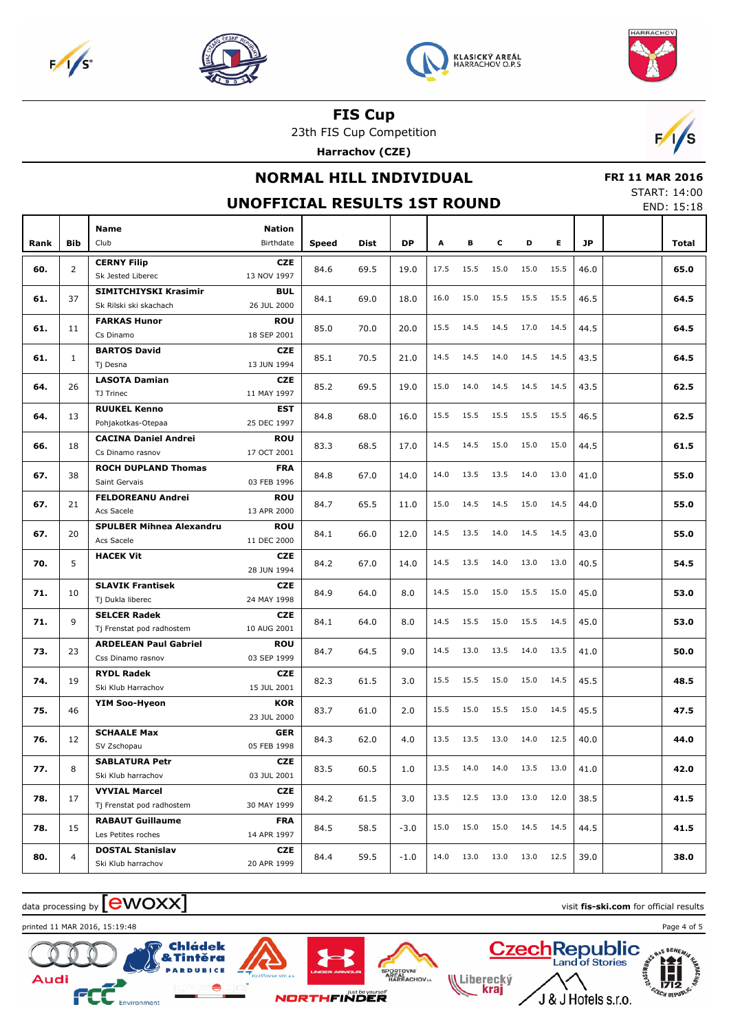







23th FIS Cup Competition

**Harrachov (CZE)**



## **NORMAL HILL INDIVIDUAL**

### **FRI 11 MAR 2016**

**UNOFFICIAL RESULTS 1ST ROUND**

START: 14:00 END: 15:18

|      |              | <b>Name</b>                                      | <b>Nation</b>             |              |             |           |      |      |      |      |      |           |       |
|------|--------------|--------------------------------------------------|---------------------------|--------------|-------------|-----------|------|------|------|------|------|-----------|-------|
| Rank | <b>Bib</b>   | Club                                             | Birthdate                 | <b>Speed</b> | <b>Dist</b> | <b>DP</b> | A    | в    | c    | D    | Е    | <b>JP</b> | Total |
|      |              | <b>CERNY Filip</b>                               | <b>CZE</b>                |              |             |           |      |      |      |      |      |           |       |
| 60.  | 2            | Sk Jested Liberec                                | 13 NOV 1997               | 84.6         | 69.5        | 19.0      | 17.5 | 15.5 | 15.0 | 15.0 | 15.5 | 46.0      | 65.0  |
|      |              | SIMITCHIYSKI Krasimir                            | <b>BUL</b>                |              |             |           |      |      |      |      |      |           |       |
| 61.  | 37           | Sk Rilski ski skachach                           | 26 JUL 2000               | 84.1         | 69.0        | 18.0      | 16.0 | 15.0 | 15.5 | 15.5 | 15.5 | 46.5      | 64.5  |
|      |              | <b>FARKAS Hunor</b>                              | <b>ROU</b>                |              |             |           |      |      |      |      |      |           |       |
| 61.  | 11           | Cs Dinamo                                        | 18 SEP 2001               | 85.0         | 70.0        | 20.0      | 15.5 | 14.5 | 14.5 | 17.0 | 14.5 | 44.5      | 64.5  |
| 61.  | $\mathbf{1}$ | <b>BARTOS David</b>                              | <b>CZE</b>                | 85.1         | 70.5        | 21.0      | 14.5 | 14.5 | 14.0 | 14.5 | 14.5 | 43.5      | 64.5  |
|      |              | Tj Desna                                         | 13 JUN 1994               |              |             |           |      |      |      |      |      |           |       |
| 64.  | 26           | <b>LASOTA Damian</b>                             | <b>CZE</b>                | 85.2         | 69.5        | 19.0      | 15.0 | 14.0 | 14.5 | 14.5 | 14.5 | 43.5      | 62.5  |
|      |              | TJ Trinec                                        | 11 MAY 1997               |              |             |           |      |      |      |      |      |           |       |
| 64.  | 13           | <b>RUUKEL Kenno</b>                              | <b>EST</b>                | 84.8         | 68.0        | 16.0      | 15.5 | 15.5 | 15.5 | 15.5 | 15.5 | 46.5      | 62.5  |
|      |              | Pohjakotkas-Otepaa                               | 25 DEC 1997               |              |             |           |      |      |      |      |      |           |       |
| 66.  | 18           | <b>CACINA Daniel Andrei</b>                      | <b>ROU</b>                | 83.3         | 68.5        | 17.0      | 14.5 | 14.5 | 15.0 | 15.0 | 15.0 | 44.5      | 61.5  |
|      |              | Cs Dinamo rasnov                                 | 17 OCT 2001               |              |             |           |      |      |      |      |      |           |       |
| 67.  | 38           | <b>ROCH DUPLAND Thomas</b>                       | <b>FRA</b>                | 84.8         | 67.0        | 14.0      | 14.0 | 13.5 | 13.5 | 14.0 | 13.0 | 41.0      | 55.0  |
|      |              | Saint Gervais                                    | 03 FEB 1996               |              |             |           |      |      |      |      |      |           |       |
| 67.  | 21           | <b>FELDOREANU Andrei</b>                         | <b>ROU</b>                | 84.7         | 65.5        | 11.0      | 15.0 | 14.5 | 14.5 | 15.0 | 14.5 | 44.0      | 55.0  |
|      |              | Acs Sacele                                       | 13 APR 2000               |              |             |           |      |      |      |      |      |           |       |
| 67.  | 20           | <b>SPULBER Mihnea Alexandru</b>                  | <b>ROU</b>                | 84.1         | 66.0        | 12.0      | 14.5 | 13.5 | 14.0 | 14.5 | 14.5 | 43.0      | 55.0  |
|      |              | Acs Sacele                                       | 11 DEC 2000               |              |             |           |      |      |      |      |      |           |       |
| 70.  | 5            | <b>HACEK Vit</b>                                 | <b>CZE</b>                | 84.2         | 67.0        | 14.0      | 14.5 | 13.5 | 14.0 | 13.0 | 13.0 | 40.5      | 54.5  |
|      |              |                                                  | 28 JUN 1994               |              |             |           |      |      |      |      |      |           |       |
| 71.  | 10           | <b>SLAVIK Frantisek</b>                          | <b>CZE</b>                | 84.9         | 64.0        | 8.0       | 14.5 | 15.0 | 15.0 | 15.5 | 15.0 | 45.0      | 53.0  |
|      |              | Tj Dukla liberec                                 | 24 MAY 1998               |              |             |           |      |      |      |      |      |           |       |
| 71.  | 9            | <b>SELCER Radek</b><br>Tj Frenstat pod radhostem | <b>CZE</b><br>10 AUG 2001 | 84.1         | 64.0        | 8.0       | 14.5 | 15.5 | 15.0 | 15.5 | 14.5 | 45.0      | 53.0  |
|      |              | <b>ARDELEAN Paul Gabriel</b>                     | <b>ROU</b>                |              |             |           |      |      |      |      |      |           |       |
| 73.  | 23           | Css Dinamo rasnov                                | 03 SEP 1999               | 84.7         | 64.5        | 9.0       | 14.5 | 13.0 | 13.5 | 14.0 | 13.5 | 41.0      | 50.0  |
|      |              | <b>RYDL Radek</b>                                | <b>CZE</b>                |              |             |           |      |      |      |      |      |           |       |
| 74.  | 19           | Ski Klub Harrachov                               | 15 JUL 2001               | 82.3         | 61.5        | 3.0       | 15.5 | 15.5 | 15.0 | 15.0 | 14.5 | 45.5      | 48.5  |
|      |              | YIM Soo-Hyeon                                    | <b>KOR</b>                |              |             |           |      |      |      |      |      |           |       |
| 75.  | 46           |                                                  | 23 JUL 2000               | 83.7         | 61.0        | 2.0       | 15.5 | 15.0 | 15.5 | 15.0 | 14.5 | 45.5      | 47.5  |
|      |              | <b>SCHAALE Max</b>                               | <b>GER</b>                |              |             |           |      |      |      |      |      |           |       |
| 76.  | 12           | SV Zschopau                                      | 05 FEB 1998               | 84.3         | 62.0        | 4.0       | 13.5 | 13.5 | 13.0 | 14.0 | 12.5 | 40.0      | 44.0  |
|      |              | <b>SABLATURA Petr</b>                            | <b>CZE</b>                |              |             |           |      |      |      |      |      |           |       |
| 77.  | 8            | Ski Klub harrachov                               | 03 JUL 2001               | 83.5         | 60.5        | 1.0       | 13.5 | 14.0 | 14.0 | 13.5 | 13.0 | 41.0      | 42.0  |
|      |              | <b>VYVIAL Marcel</b>                             | CZE                       |              |             |           |      |      |      |      |      |           |       |
| 78.  | 17           | Tj Frenstat pod radhostem                        | 30 MAY 1999               | 84.2         | 61.5        | 3.0       | 13.5 | 12.5 | 13.0 | 13.0 | 12.0 | 38.5      | 41.5  |
|      |              | <b>RABAUT Guillaume</b>                          | <b>FRA</b>                |              |             |           |      |      |      |      |      |           |       |
| 78.  | 15           | Les Petites roches                               | 14 APR 1997               | 84.5         | 58.5        | $-3.0$    | 15.0 | 15.0 | 15.0 | 14.5 | 14.5 | 44.5      | 41.5  |
|      |              | <b>DOSTAL Stanislav</b>                          | CZE                       |              |             |           |      |      |      |      |      |           |       |
| 80.  | 4            | Ski Klub harrachov                               | 20 APR 1999               | 84.4         | 59.5        | $-1.0$    | 14.0 | 13.0 | 13.0 | 13.0 | 12.5 | 39.0      | 38.0  |

#### $\alpha$  data processing by  $\boxed{\text{ewOX}}$

**Chládek Tintěra** i di

printed 11 MAR 2016, 15:19:48 Page 4 of 5





**PORTOVNI<br>AREAL<br>HARRACHOV.**